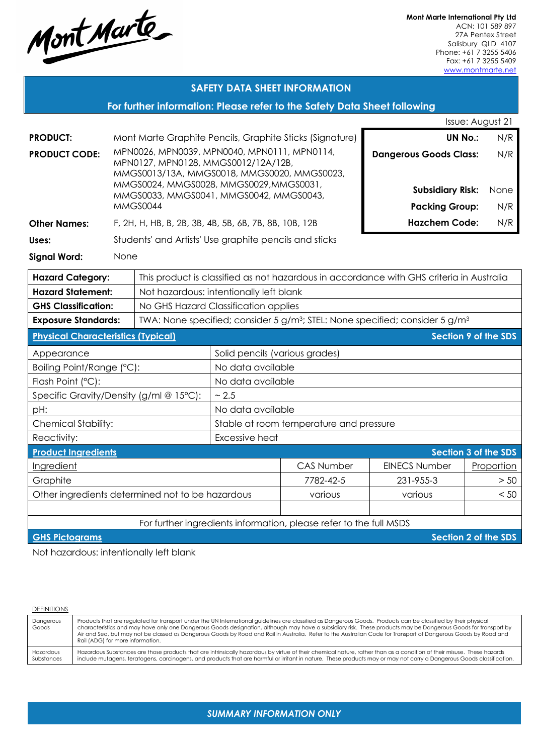Mont Marte

**Mont Marte International Pty Ltd** ACN: 101 589 897 27A Pentex Street Salisbury QLD 4107 Phone: +61 7 3255 5406 Fax: +61 7 3255 5409 www.montmarte.net

## **SAFETY DATA SHEET INFORMATION**

## **For further information: Please refer to the Safety Data Sheet following**

|                                                  |                                                                                          |                                                                                    | Issue: August 21                     |                                                                    |                                                                                                      |                             |  |
|--------------------------------------------------|------------------------------------------------------------------------------------------|------------------------------------------------------------------------------------|--------------------------------------|--------------------------------------------------------------------|------------------------------------------------------------------------------------------------------|-----------------------------|--|
| <b>PRODUCT:</b>                                  | Mont Marte Graphite Pencils, Graphite Sticks (Signature)                                 |                                                                                    |                                      | <b>UN No.:</b><br>N/R                                              |                                                                                                      |                             |  |
| <b>PRODUCT CODE:</b>                             | MPN0026, MPN0039, MPN0040, MPN0111, MPN0114,                                             |                                                                                    |                                      |                                                                    | <b>Dangerous Goods Class:</b>                                                                        | N/R                         |  |
|                                                  |                                                                                          | MPN0127, MPN0128, MMGS0012/12A/12B,<br>MMGS0013/13A, MMGS0018, MMGS0020, MMGS0023, |                                      |                                                                    |                                                                                                      |                             |  |
|                                                  |                                                                                          | MMGS0024, MMGS0028, MMGS0029, MMGS0031,                                            |                                      |                                                                    |                                                                                                      |                             |  |
|                                                  |                                                                                          | MMGS0033, MMGS0041, MMGS0042, MMGS0043,                                            |                                      |                                                                    | <b>Subsidiary Risk:</b>                                                                              | None                        |  |
|                                                  |                                                                                          | <b>MMGS0044</b>                                                                    |                                      |                                                                    | <b>Packing Group:</b>                                                                                | N/R                         |  |
| <b>Other Names:</b>                              |                                                                                          | F, 2H, H, HB, B, 2B, 3B, 4B, 5B, 6B, 7B, 8B, 10B, 12B                              |                                      |                                                                    | <b>Hazchem Code:</b>                                                                                 | N/R                         |  |
| Uses:                                            |                                                                                          | Students' and Artists' Use graphite pencils and sticks                             |                                      |                                                                    |                                                                                                      |                             |  |
| <b>Signal Word:</b>                              |                                                                                          | None                                                                               |                                      |                                                                    |                                                                                                      |                             |  |
| <b>Hazard Category:</b>                          | This product is classified as not hazardous in accordance with GHS criteria in Australia |                                                                                    |                                      |                                                                    |                                                                                                      |                             |  |
| <b>Hazard Statement:</b>                         |                                                                                          | Not hazardous: intentionally left blank                                            |                                      |                                                                    |                                                                                                      |                             |  |
| <b>GHS Classification:</b>                       |                                                                                          |                                                                                    | No GHS Hazard Classification applies |                                                                    |                                                                                                      |                             |  |
| <b>Exposure Standards:</b>                       |                                                                                          |                                                                                    |                                      |                                                                    | TWA: None specified; consider 5 g/m <sup>3</sup> ; STEL: None specified; consider 5 g/m <sup>3</sup> |                             |  |
| <b>Physical Characteristics (Typical)</b>        |                                                                                          |                                                                                    |                                      |                                                                    |                                                                                                      | <b>Section 9 of the SDS</b> |  |
| Appearance                                       |                                                                                          |                                                                                    | Solid pencils (various grades)       |                                                                    |                                                                                                      |                             |  |
| Boiling Point/Range (°C):                        |                                                                                          |                                                                                    | No data available                    |                                                                    |                                                                                                      |                             |  |
| Flash Point (°C):                                |                                                                                          |                                                                                    | No data available                    |                                                                    |                                                                                                      |                             |  |
| Specific Gravity/Density (g/ml @ 15°C):          |                                                                                          |                                                                                    | ~2.5                                 |                                                                    |                                                                                                      |                             |  |
| pH:                                              |                                                                                          | No data available                                                                  |                                      |                                                                    |                                                                                                      |                             |  |
| Chemical Stability:                              |                                                                                          | Stable at room temperature and pressure                                            |                                      |                                                                    |                                                                                                      |                             |  |
| Reactivity:                                      |                                                                                          |                                                                                    | Excessive heat                       |                                                                    |                                                                                                      |                             |  |
| <b>Product Ingredients</b>                       |                                                                                          |                                                                                    |                                      |                                                                    |                                                                                                      | Section 3 of the SDS        |  |
| Ingredient                                       |                                                                                          |                                                                                    |                                      | <b>CAS Number</b>                                                  | <b>EINECS Number</b>                                                                                 | Proportion                  |  |
| Graphite                                         |                                                                                          |                                                                                    |                                      | 7782-42-5                                                          | 231-955-3                                                                                            | >50                         |  |
| Other ingredients determined not to be hazardous |                                                                                          |                                                                                    |                                      | various                                                            | various                                                                                              | < 5C                        |  |
|                                                  |                                                                                          |                                                                                    |                                      |                                                                    |                                                                                                      |                             |  |
|                                                  |                                                                                          |                                                                                    |                                      | For further ingredients information, please refer to the full MSDS |                                                                                                      |                             |  |

**GHS Pictograms Section 2 of the SDS** 

Not hazardous: intentionally left blank

| <b>DEFINITIONS</b>      |                                                                                                                                                                                                                                                                                                                                                                                                                                                                                                                                          |
|-------------------------|------------------------------------------------------------------------------------------------------------------------------------------------------------------------------------------------------------------------------------------------------------------------------------------------------------------------------------------------------------------------------------------------------------------------------------------------------------------------------------------------------------------------------------------|
| Dangerous<br>Goods      | Products that are regulated for transport under the UN International guidelines are classified as Dangerous Goods. Products can be classified by their physical<br>characteristics and may have only one Dangerous Goods designation, although may have a subsidiary risk. These products may be Dangerous Goods for transport by<br>Air and Sea, but may not be classed as Dangerous Goods by Road and Rail in Australia. Refer to the Australian Code for Transport of Dangerous Goods by Road and<br>Rail (ADG) for more information. |
| Hazardous<br>Substances | Hazardous Substances are those products that are intrinsically hazardous by virtue of their chemical nature, rather than as a condition of their misuse. These hazards<br>include mutagens, teratogens, carcinogens, and products that are harmful or irritant in nature. These products may or may not carry a Dangerous Goods classification.                                                                                                                                                                                          |

### *SUMMARY INFORMATION ONLY*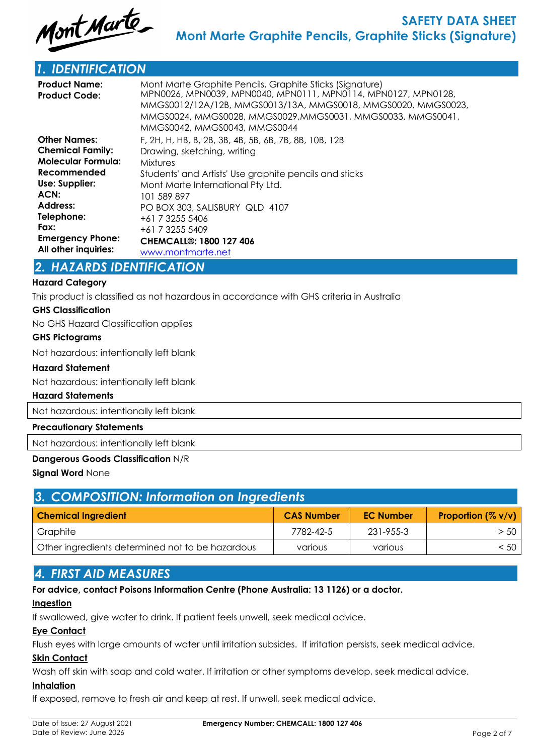

## *1. IDENTIFICATION*

| <b>Product Name:</b><br><b>Product Code:</b> | Mont Marte Graphite Pencils, Graphite Sticks (Signature)<br>MPN0026, MPN0039, MPN0040, MPN0111, MPN0114, MPN0127, MPN0128,<br>MMGS0012/12A/12B, MMGS0013/13A, MMGS0018, MMGS0020, MMGS0023,<br>MMGS0024, MMGS0028, MMGS0029, MMGS0031, MMGS0033, MMGS0041,<br>MMGS0042, MMGS0043, MMGS0044 |
|----------------------------------------------|--------------------------------------------------------------------------------------------------------------------------------------------------------------------------------------------------------------------------------------------------------------------------------------------|
| <b>Other Names:</b>                          | F, 2H, H, HB, B, 2B, 3B, 4B, 5B, 6B, 7B, 8B, 10B, 12B                                                                                                                                                                                                                                      |
| <b>Chemical Family:</b>                      | Drawing, sketching, writing                                                                                                                                                                                                                                                                |
| <b>Molecular Formula:</b>                    | Mixtures                                                                                                                                                                                                                                                                                   |
| Recommended                                  | Students' and Artists' Use graphite pencils and sticks                                                                                                                                                                                                                                     |
| Use: Supplier:                               | Mont Marte International Pty Ltd.                                                                                                                                                                                                                                                          |
| ACN:                                         | 101 589 897                                                                                                                                                                                                                                                                                |
| <b>Address:</b>                              | PO BOX 303, SALISBURY QLD 4107                                                                                                                                                                                                                                                             |
| Telephone:                                   | +61 7 3255 5406                                                                                                                                                                                                                                                                            |
| Fax:                                         | +61 7 3255 5409                                                                                                                                                                                                                                                                            |
| <b>Emergency Phone:</b>                      | <b>CHEMCALL<sup>®</sup>: 1800 127 406</b>                                                                                                                                                                                                                                                  |
| All other inquiries:                         | www.montmarte.net                                                                                                                                                                                                                                                                          |

## *2. HAZARDS IDENTIFICATION*

## **Hazard Category**

This product is classified as not hazardous in accordance with GHS criteria in Australia

#### **GHS Classification**

No GHS Hazard Classification applies

#### **GHS Pictograms**

Not hazardous: intentionally left blank

#### **Hazard Statement**

Not hazardous: intentionally left blank

#### **Hazard Statements**

Not hazardous: intentionally left blank

## **Precautionary Statements**

Not hazardous: intentionally left blank

#### **Dangerous Goods Classification** N/R

**Signal Word** None

| 3. COMPOSITION: Information on Ingredients       |                   |                  |                    |  |  |
|--------------------------------------------------|-------------------|------------------|--------------------|--|--|
| <b>Chemical Ingredient</b>                       | <b>CAS Number</b> | <b>EC Number</b> | Proportion (% v/v) |  |  |
| Graphite                                         | 7782-42-5         | 231-955-3        | $>$ 50 $\vert$     |  |  |
| Other ingredients determined not to be hazardous | various           | various          | < 50               |  |  |

## *4. FIRST AID MEASURES*

**For advice, contact Poisons Information Centre (Phone Australia: 13 1126) or a doctor.**

#### **Ingestion**

If swallowed, give water to drink. If patient feels unwell, seek medical advice.

## **Eye Contact**

Flush eyes with large amounts of water until irritation subsides. If irritation persists, seek medical advice.

## **Skin Contact**

Wash off skin with soap and cold water. If irritation or other symptoms develop, seek medical advice.

## **Inhalation**

If exposed, remove to fresh air and keep at rest. If unwell, seek medical advice.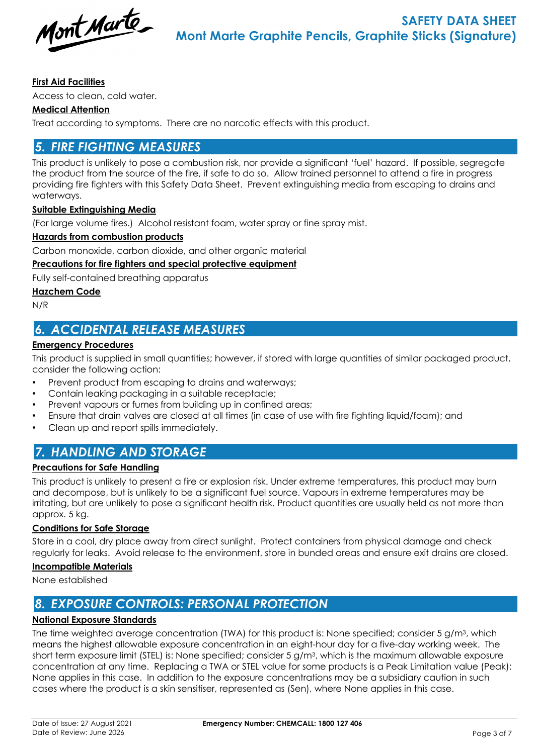Mont Marte

## **First Aid Facilities**

Access to clean, cold water.

## **Medical Attention**

Treat according to symptoms. There are no narcotic effects with this product.

# *5. FIRE FIGHTING MEASURES*

This product is unlikely to pose a combustion risk, nor provide a significant 'fuel' hazard. If possible, segregate the product from the source of the fire, if safe to do so. Allow trained personnel to attend a fire in progress providing fire fighters with this Safety Data Sheet. Prevent extinguishing media from escaping to drains and waterways.

## **Suitable Extinguishing Media**

(For large volume fires.) Alcohol resistant foam, water spray or fine spray mist.

### **Hazards from combustion products**

Carbon monoxide, carbon dioxide, and other organic material

### **Precautions for fire fighters and special protective equipment**

Fully self-contained breathing apparatus

### **Hazchem Code**

N/R

# *6. ACCIDENTAL RELEASE MEASURES*

### **Emergency Procedures**

This product is supplied in small quantities; however, if stored with large quantities of similar packaged product, consider the following action:

- Prevent product from escaping to drains and waterways;
- Contain leaking packaging in a suitable receptacle;
- Prevent vapours or fumes from building up in confined areas;
- Ensure that drain valves are closed at all times (in case of use with fire fighting liquid/foam); and
- Clean up and report spills immediately.

## *7. HANDLING AND STORAGE*

## **Precautions for Safe Handling**

This product is unlikely to present a fire or explosion risk. Under extreme temperatures, this product may burn and decompose, but is unlikely to be a significant fuel source. Vapours in extreme temperatures may be irritating, but are unlikely to pose a significant health risk. Product quantities are usually held as not more than approx. 5 kg.

## **Conditions for Safe Storage**

Store in a cool, dry place away from direct sunlight. Protect containers from physical damage and check regularly for leaks. Avoid release to the environment, store in bunded areas and ensure exit drains are closed.

#### **Incompatible Materials**

None established

# *8. EXPOSURE CONTROLS: PERSONAL PROTECTION*

## **National Exposure Standards**

The time weighted average concentration (TWA) for this product is: None specified; consider 5 g/m3, which means the highest allowable exposure concentration in an eight-hour day for a five-day working week. The short term exposure limit (STEL) is: None specified; consider 5 g/m3, which is the maximum allowable exposure concentration at any time. Replacing a TWA or STEL value for some products is a Peak Limitation value (Peak): None applies in this case. In addition to the exposure concentrations may be a subsidiary caution in such cases where the product is a skin sensitiser, represented as (Sen), where None applies in this case.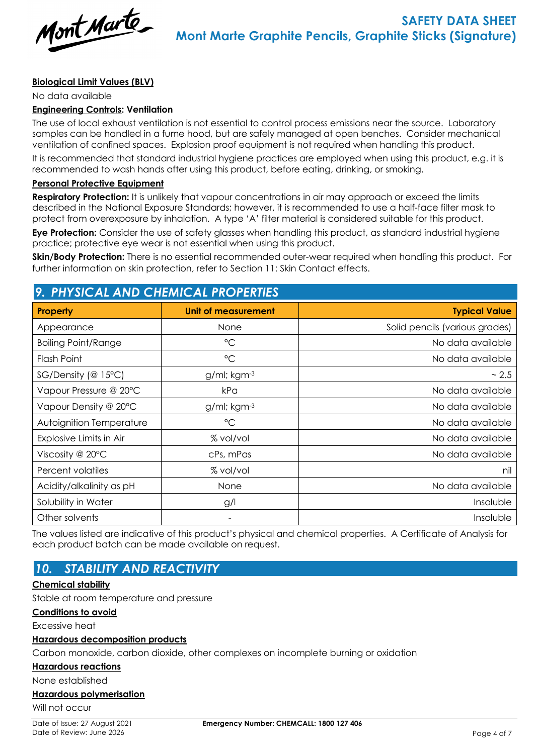

### **Biological Limit Values (BLV)**

No data available

#### **Engineering Controls: Ventilation**

The use of local exhaust ventilation is not essential to control process emissions near the source. Laboratory samples can be handled in a fume hood, but are safely managed at open benches. Consider mechanical ventilation of confined spaces. Explosion proof equipment is not required when handling this product.

It is recommended that standard industrial hygiene practices are employed when using this product, e.g. it is recommended to wash hands after using this product, before eating, drinking, or smoking.

#### **Personal Protective Equipment**

**Respiratory Protection:** It is unlikely that vapour concentrations in air may approach or exceed the limits described in the National Exposure Standards; however, it is recommended to use a half-face filter mask to protect from overexposure by inhalation. A type 'A' filter material is considered suitable for this product.

**Eye Protection:** Consider the use of safety glasses when handling this product, as standard industrial hygiene practice; protective eye wear is not essential when using this product.

**Skin/Body Protection:** There is no essential recommended outer-wear required when handling this product. For further information on skin protection, refer to Section 11: Skin Contact effects.

## *9. PHYSICAL AND CHEMICAL PROPERTIES*

| <b>Property</b>            | <b>Unit of measurement</b> | <b>Typical Value</b>           |
|----------------------------|----------------------------|--------------------------------|
| Appearance                 | <b>None</b>                | Solid pencils (various grades) |
| <b>Boiling Point/Range</b> | $\rm ^{\circ}C$            | No data available              |
| Flash Point                | $\rm ^{\circ}C$            | No data available              |
| $SG/Density$ (@ 15°C)      | g/ml; kgm-3                | ~2.5                           |
| Vapour Pressure @ 20°C     | kPa                        | No data available              |
| Vapour Density @ 20°C      | g/ml; kgm-3                | No data available              |
| Autoignition Temperature   | $^{\circ}$ C               | No data available              |
| Explosive Limits in Air    | % vol/vol                  | No data available              |
| Viscosity @ $20^{\circ}$ C | cPs, mPas                  | No data available              |
| Percent volatiles          | % vol/vol                  | nil                            |
| Acidity/alkalinity as pH   | None                       | No data available              |
| Solubility in Water        | g/l                        | Insoluble                      |
| Other solvents             |                            | Insoluble                      |

The values listed are indicative of this product's physical and chemical properties. A Certificate of Analysis for each product batch can be made available on request.

# *10. STABILITY AND REACTIVITY*

#### **Chemical stability**

Stable at room temperature and pressure

#### **Conditions to avoid**

Excessive heat

#### **Hazardous decomposition products**

Carbon monoxide, carbon dioxide, other complexes on incomplete burning or oxidation

#### **Hazardous reactions**

None established

### **Hazardous polymerisation**

Will not occur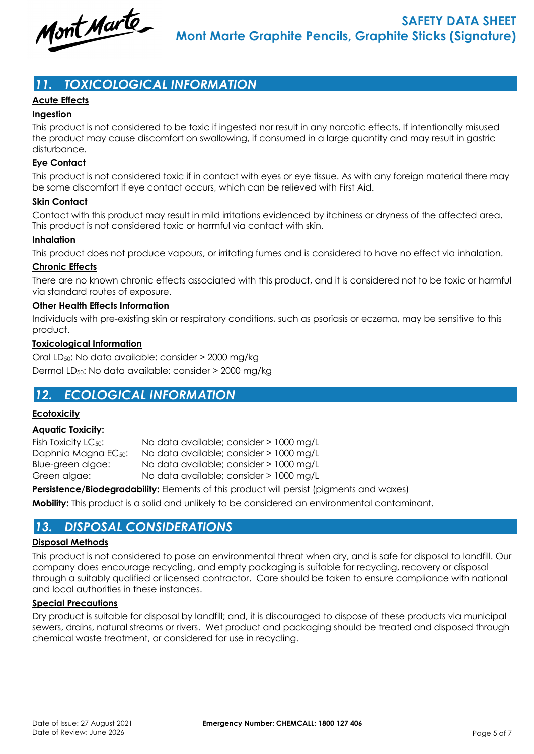

# *11. TOXICOLOGICAL INFORMATION*

## **Acute Effects**

## **Ingestion**

This product is not considered to be toxic if ingested nor result in any narcotic effects. If intentionally misused the product may cause discomfort on swallowing, if consumed in a large quantity and may result in gastric disturbance.

### **Eye Contact**

This product is not considered toxic if in contact with eyes or eye tissue. As with any foreign material there may be some discomfort if eye contact occurs, which can be relieved with First Aid.

#### **Skin Contact**

Contact with this product may result in mild irritations evidenced by itchiness or dryness of the affected area. This product is not considered toxic or harmful via contact with skin.

#### **Inhalation**

This product does not produce vapours, or irritating fumes and is considered to have no effect via inhalation.

#### **Chronic Effects**

There are no known chronic effects associated with this product, and it is considered not to be toxic or harmful via standard routes of exposure.

#### **Other Health Effects Information**

Individuals with pre-existing skin or respiratory conditions, such as psoriasis or eczema, may be sensitive to this product.

#### **Toxicological Information**

Oral LD50: No data available: consider > 2000 mg/kg Dermal LD50: No data available: consider > 2000 mg/kg

## *12. ECOLOGICAL INFORMATION*

#### **Ecotoxicity**

#### **Aquatic Toxicity:**

Fish Toxicity LC<sub>50</sub>: No data available; consider > 1000 mg/L Daphnia Magna EC50: No data available; consider > 1000 mg/L Blue-green algae: No data available; consider > 1000 mg/L Green algae: No data available; consider > 1000 mg/L

**Persistence/Biodegradability:** Elements of this product will persist (pigments and waxes)

**Mobility:** This product is a solid and unlikely to be considered an environmental contaminant.

## *13. DISPOSAL CONSIDERATIONS*

#### **Disposal Methods**

This product is not considered to pose an environmental threat when dry, and is safe for disposal to landfill. Our company does encourage recycling, and empty packaging is suitable for recycling, recovery or disposal through a suitably qualified or licensed contractor. Care should be taken to ensure compliance with national and local authorities in these instances.

#### **Special Precautions**

Dry product is suitable for disposal by landfill; and, it is discouraged to dispose of these products via municipal sewers, drains, natural streams or rivers. Wet product and packaging should be treated and disposed through chemical waste treatment, or considered for use in recycling.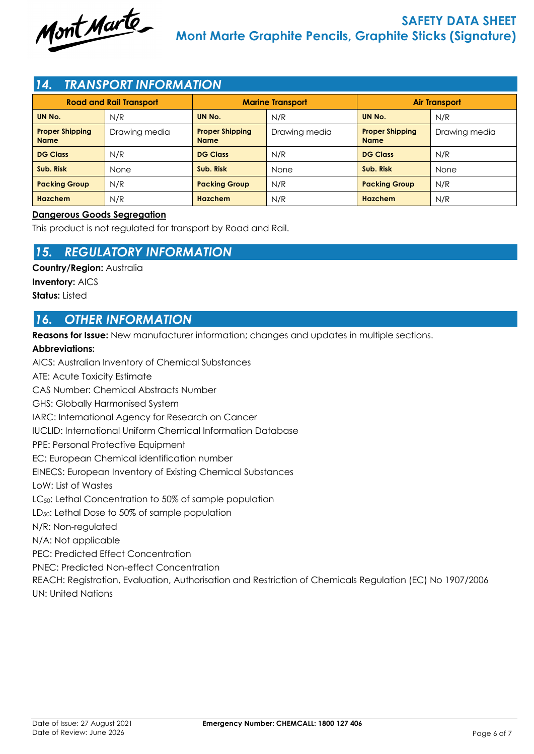

## *14. TRANSPORT INFORMATION*

| <b>Road and Rail Transport</b>        |               | <b>Marine Transport</b>               |               | <b>Air Transport</b>                  |               |
|---------------------------------------|---------------|---------------------------------------|---------------|---------------------------------------|---------------|
| UN No.                                | N/R           | UN No.                                | N/R           | UN No.                                | N/R           |
| <b>Proper Shipping</b><br><b>Name</b> | Drawing media | <b>Proper Shipping</b><br><b>Name</b> | Drawing media | <b>Proper Shipping</b><br><b>Name</b> | Drawing media |
| <b>DG Class</b>                       | N/R           | <b>DG Class</b>                       | N/R           | <b>DG Class</b>                       | N/R           |
| Sub. Risk                             | None          | Sub. Risk                             | None          | Sub. Risk                             | None          |
| <b>Packing Group</b>                  | N/R           | <b>Packing Group</b>                  | N/R           | <b>Packing Group</b>                  | N/R           |
| Hazchem                               | N/R           | <b>Hazchem</b>                        | N/R           | Hazchem                               | N/R           |

### **Dangerous Goods Segregation**

This product is not regulated for transport by Road and Rail.

## *15. REGULATORY INFORMATION*

**Country/Region:** Australia

**Inventory:** AICS **Status:** Listed

## *16. OTHER INFORMATION*

**Reasons for Issue:** New manufacturer information; changes and updates in multiple sections.

## **Abbreviations:**

AICS: Australian Inventory of Chemical Substances ATE: Acute Toxicity Estimate CAS Number: Chemical Abstracts Number GHS: Globally Harmonised System IARC: International Agency for Research on Cancer IUCLID: International Uniform Chemical Information Database PPE: Personal Protective Equipment EC: European Chemical identification number EINECS: European Inventory of Existing Chemical Substances LoW: List of Wastes LC<sub>50</sub>: Lethal Concentration to 50% of sample population LD<sub>50</sub>: Lethal Dose to 50% of sample population N/R: Non-regulated N/A: Not applicable PEC: Predicted Effect Concentration PNEC: Predicted Non-effect Concentration REACH: Registration, Evaluation, Authorisation and Restriction of Chemicals Regulation (EC) No 1907/2006 UN: United Nations